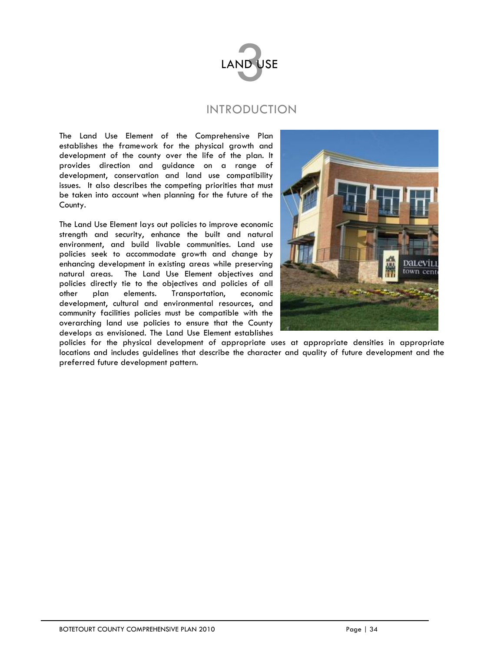

# INTRODUCTION

The Land Use Element of the Comprehensive Plan establishes the framework for the physical growth and development of the county over the life of the plan. It provides direction and guidance on a range of development, conservation and land use compatibility issues. It also describes the competing priorities that must be taken into account when planning for the future of the County.

The Land Use Element lays out policies to improve economic strength and security, enhance the built and natural environment, and build livable communities. Land use policies seek to accommodate growth and change by enhancing development in existing areas while preserving natural areas. The Land Use Element objectives and policies directly tie to the objectives and policies of all other plan elements. Transportation, economic development, cultural and environmental resources, and community facilities policies must be compatible with the overarching land use policies to ensure that the County develops as envisioned. The Land Use Element establishes



policies for the physical development of appropriate uses at appropriate densities in appropriate locations and includes guidelines that describe the character and quality of future development and the preferred future development pattern.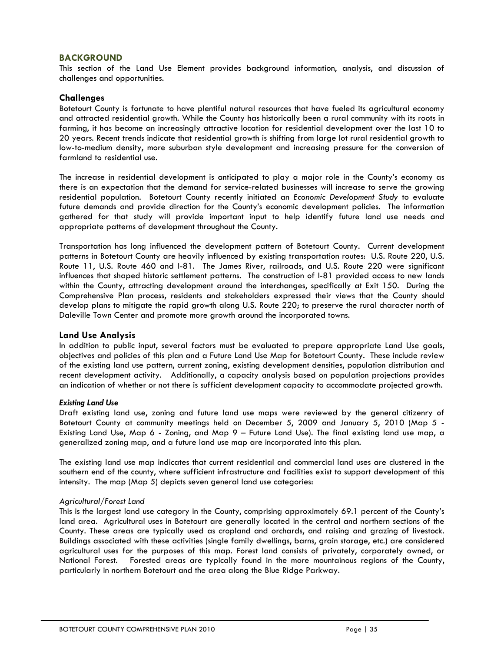## **BACKGROUND**

This section of the Land Use Element provides background information, analysis, and discussion of challenges and opportunities.

## **Challenges**

Botetourt County is fortunate to have plentiful natural resources that have fueled its agricultural economy and attracted residential growth. While the County has historically been a rural community with its roots in farming, it has become an increasingly attractive location for residential development over the last 10 to 20 years. Recent trends indicate that residential growth is shifting from large lot rural residential growth to low-to-medium density, more suburban style development and increasing pressure for the conversion of farmland to residential use.

The increase in residential development is anticipated to play a major role in the County's economy as there is an expectation that the demand for service-related businesses will increase to serve the growing residential population. Botetourt County recently initiated an *Economic Development Study* to evaluate future demands and provide direction for the County's economic development policies. The information gathered for that study will provide important input to help identify future land use needs and appropriate patterns of development throughout the County.

Transportation has long influenced the development pattern of Botetourt County. Current development patterns in Botetourt County are heavily influenced by existing transportation routes: U.S. Route 220, U.S. Route 11, U.S. Route 460 and I-81. The James River, railroads, and U.S. Route 220 were significant influences that shaped historic settlement patterns. The construction of I-81 provided access to new lands within the County, attracting development around the interchanges, specifically at Exit 150. During the Comprehensive Plan process, residents and stakeholders expressed their views that the County should develop plans to mitigate the rapid growth along U.S. Route 220; to preserve the rural character north of Daleville Town Center and promote more growth around the incorporated towns.

## **Land Use Analysis**

In addition to public input, several factors must be evaluated to prepare appropriate Land Use goals, objectives and policies of this plan and a Future Land Use Map for Botetourt County. These include review of the existing land use pattern, current zoning, existing development densities, population distribution and recent development activity. Additionally, a capacity analysis based on population projections provides an indication of whether or not there is sufficient development capacity to accommodate projected growth.

## *Existing Land Use*

Draft existing land use, zoning and future land use maps were reviewed by the general citizenry of Botetourt County at community meetings held on December 5, 2009 and January 5, 2010 (Map 5 - Existing Land Use, Map 6 - Zoning, and Map 9 – Future Land Use). The final existing land use map, a generalized zoning map, and a future land use map are incorporated into this plan.

The existing land use map indicates that current residential and commercial land uses are clustered in the southern end of the county, where sufficient infrastructure and facilities exist to support development of this intensity. The map (Map 5) depicts seven general land use categories:

## *Agricultural/Forest Land*

This is the largest land use category in the County, comprising approximately 69.1 percent of the County's land area. Agricultural uses in Botetourt are generally located in the central and northern sections of the County. These areas are typically used as cropland and orchards, and raising and grazing of livestock. Buildings associated with these activities (single family dwellings, barns, grain storage, etc.) are considered agricultural uses for the purposes of this map. Forest land consists of privately, corporately owned, or National Forest. Forested areas are typically found in the more mountainous regions of the County, particularly in northern Botetourt and the area along the Blue Ridge Parkway.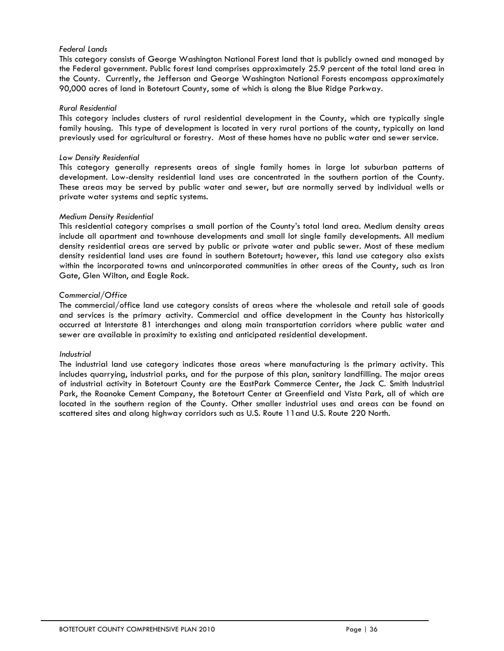## *Federal Lands*

This category consists of George Washington National Forest land that is publicly owned and managed by the Federal government. Public forest land comprises approximately 25.9 percent of the total land area in the County. Currently, the Jefferson and George Washington National Forests encompass approximately 90,000 acres of land in Botetourt County, some of which is along the Blue Ridge Parkway.

#### *Rural Residential*

This category includes clusters of rural residential development in the County, which are typically single family housing. This type of development is located in very rural portions of the county, typically on land previously used for agricultural or forestry. Most of these homes have no public water and sewer service.

#### *Low Density Residential*

This category generally represents areas of single family homes in large lot suburban patterns of development. Low-density residential land uses are concentrated in the southern portion of the County. These areas may be served by public water and sewer, but are normally served by individual wells or private water systems and septic systems.

#### *Medium Density Residential*

This residential category comprises a small portion of the County's total land area. Medium density areas include all apartment and townhouse developments and small lot single family developments. All medium density residential areas are served by public or private water and public sewer. Most of these medium density residential land uses are found in southern Botetourt; however, this land use category also exists within the incorporated towns and unincorporated communities in other areas of the County, such as Iron Gate, Glen Wilton, and Eagle Rock.

#### *Commercial/Office*

The commercial/office land use category consists of areas where the wholesale and retail sale of goods and services is the primary activity. Commercial and office development in the County has historically occurred at Interstate 81 interchanges and along main transportation corridors where public water and sewer are available in proximity to existing and anticipated residential development.

## *Industrial*

The industrial land use category indicates those areas where manufacturing is the primary activity. This includes quarrying, industrial parks, and for the purpose of this plan, sanitary landfilling. The major areas of industrial activity in Botetourt County are the EastPark Commerce Center, the Jack C. Smith Industrial Park, the Roanoke Cement Company, the Botetourt Center at Greenfield and Vista Park, all of which are located in the southern region of the County. Other smaller industrial uses and areas can be found on scattered sites and along highway corridors such as U.S. Route 11and U.S. Route 220 North.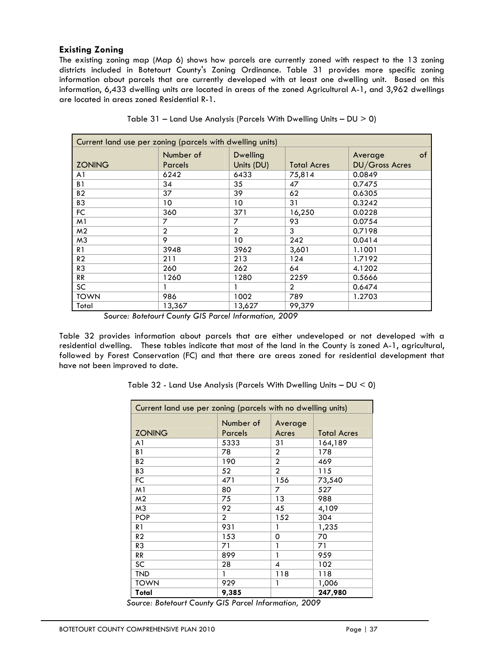# **Existing Zoning**

The existing zoning map (Map 6) shows how parcels are currently zoned with respect to the 13 zoning districts included in Botetourt County's Zoning Ordinance. Table 31 provides more specific zoning information about parcels that are currently developed with at least one dwelling unit. Based on this information, 6,433 dwelling units are located in areas of the zoned Agricultural A-1, and 3,962 dwellings are located in areas zoned Residential R-1.

| Current land use per zoning (parcels with dwelling units) |                             |                               |                    |                                        |  |  |
|-----------------------------------------------------------|-----------------------------|-------------------------------|--------------------|----------------------------------------|--|--|
| <b>ZONING</b>                                             | Number of<br><b>Parcels</b> | <b>Dwelling</b><br>Units (DU) | <b>Total Acres</b> | of<br>Average<br><b>DU/Gross Acres</b> |  |  |
| A <sub>1</sub>                                            | 6242                        | 6433                          | 75,814             | 0.0849                                 |  |  |
| B <sub>1</sub>                                            | 34                          | 35                            | 47                 | 0.7475                                 |  |  |
| B <sub>2</sub>                                            | 37                          | 39                            | 62                 | 0.6305                                 |  |  |
| B <sub>3</sub>                                            | 10                          | 10                            | 31                 | 0.3242                                 |  |  |
| FC.                                                       | 360                         | 371                           | 16,250             | 0.0228                                 |  |  |
| M1                                                        | 7                           | 7                             | 93                 | 0.0754                                 |  |  |
| M <sub>2</sub>                                            | $\overline{2}$              | $\overline{2}$                | 3                  | 0.7198                                 |  |  |
| M3                                                        | 9                           | 10                            | 242                | 0.0414                                 |  |  |
| R1                                                        | 3948                        | 3962                          | 3,601              | 1.1001                                 |  |  |
| R <sub>2</sub>                                            | 211                         | 213                           | 124                | 1.7192                                 |  |  |
| R <sub>3</sub>                                            | 260                         | 262                           | 64                 | 4.1202                                 |  |  |
| <b>RR</b>                                                 | 1260                        | 1280                          | 2259               | 0.5666                                 |  |  |
| <b>SC</b>                                                 |                             |                               | $\overline{2}$     | 0.6474                                 |  |  |
| <b>TOWN</b>                                               | 986                         | 1002                          | 789                | 1.2703                                 |  |  |
| Total                                                     | 13,367                      | 13,627                        | 99,379             |                                        |  |  |

|  |  | Table 31 - Land Use Analysis (Parcels With Dwelling Units - $DU > 0$ ) |  |
|--|--|------------------------------------------------------------------------|--|
|  |  |                                                                        |  |

*Source: Botetourt County GIS Parcel Information, 2009* 

Table 32 provides information about parcels that are either undeveloped or not developed with a residential dwelling. These tables indicate that most of the land in the County is zoned A-1, agricultural, followed by Forest Conservation (FC) and that there are areas zoned for residential development that have not been improved to date.

| Current land use per zoning (parcels with no dwelling units) |                |                |                    |  |  |  |
|--------------------------------------------------------------|----------------|----------------|--------------------|--|--|--|
|                                                              | Number of      | Average        |                    |  |  |  |
| <b>ZONING</b>                                                | Parcels        | Acres          | <b>Total Acres</b> |  |  |  |
| A <sub>1</sub>                                               | 5333           | 31             | 164,189            |  |  |  |
| B <sub>1</sub>                                               | 78             | $\overline{2}$ | 178                |  |  |  |
| B <sub>2</sub>                                               | 190            | $\overline{2}$ | 469                |  |  |  |
| B <sub>3</sub>                                               | 52             | $\overline{2}$ | 115                |  |  |  |
| <b>FC</b>                                                    | 471            | 156            | 73,540             |  |  |  |
| M <sub>1</sub>                                               | 80             | 7              | 527                |  |  |  |
| M <sub>2</sub>                                               | 75             | 13             | 988                |  |  |  |
| M3                                                           | 92             | 45             | 4,109              |  |  |  |
| <b>POP</b>                                                   | $\overline{2}$ | 152            | 304                |  |  |  |
| R1                                                           | 931            |                | 1,235              |  |  |  |
| R <sub>2</sub>                                               | 153            | 0              | 70                 |  |  |  |
| R <sub>3</sub>                                               | 71             | 1              | 71                 |  |  |  |
| RR                                                           | 899            | 1              | 959                |  |  |  |
| SC                                                           | 28             | 4              | 102                |  |  |  |
| <b>TND</b>                                                   | 1              | 118            | 118                |  |  |  |
| <b>TOWN</b>                                                  | 929            | 1              | 1,006              |  |  |  |
| Total                                                        | 9,385          |                | 247,980            |  |  |  |

Table 32 - Land Use Analysis (Parcels With Dwelling Units – DU < 0)

*Source: Botetourt County GIS Parcel Information, 2009*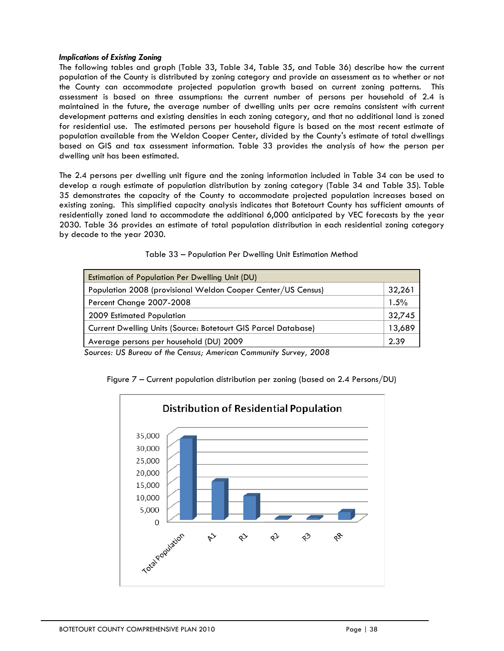#### *Implications of Existing Zoning*

The following tables and graph (Table 33, Table 34, Table 35, and Table 36) describe how the current population of the County is distributed by zoning category and provide an assessment as to whether or not the County can accommodate projected population growth based on current zoning patterns. This assessment is based on three assumptions: the current number of persons per household of 2.4 is maintained in the future, the average number of dwelling units per acre remains consistent with current development patterns and existing densities in each zoning category, and that no additional land is zoned for residential use. The estimated persons per household figure is based on the most recent estimate of population available from the Weldon Cooper Center, divided by the County's estimate of total dwellings based on GIS and tax assessment information. Table 33 provides the analysis of how the person per dwelling unit has been estimated.

The 2.4 persons per dwelling unit figure and the zoning information included in Table 34 can be used to develop a rough estimate of population distribution by zoning category (Table 34 and Table 35). Table 35 demonstrates the capacity of the County to accommodate projected population increases based on existing zoning. This simplified capacity analysis indicates that Botetourt County has sufficient amounts of residentially zoned land to accommodate the additional 6,000 anticipated by VEC forecasts by the year 2030. Table 36 provides an estimate of total population distribution in each residential zoning category by decade to the year 2030.

| 32,261 |
|--------|
| 1.5%   |
| 32,745 |
| 13,689 |
| 2.39   |
|        |

Table 33 – Population Per Dwelling Unit Estimation Method

 *Sources: US Bureau of the Census; American Community Survey, 2008* 



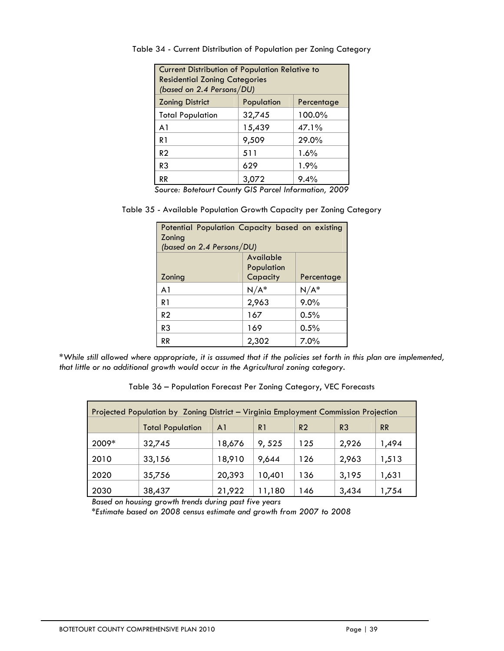| <b>Current Distribution of Population Relative to</b><br><b>Residential Zoning Categories</b><br>(based on 2.4 Persons/DU) |        |        |  |  |  |  |
|----------------------------------------------------------------------------------------------------------------------------|--------|--------|--|--|--|--|
| <b>Zoning District</b><br>Population<br>Percentage                                                                         |        |        |  |  |  |  |
| <b>Total Population</b>                                                                                                    | 32,745 | 100.0% |  |  |  |  |
| A <sub>1</sub>                                                                                                             | 15,439 | 47.1%  |  |  |  |  |
| R <sub>1</sub>                                                                                                             | 9,509  | 29.0%  |  |  |  |  |
| R <sub>2</sub>                                                                                                             | 511    | 1.6%   |  |  |  |  |
| R3                                                                                                                         | 629    | 1.9%   |  |  |  |  |
| 9.4%<br>RR<br>3,072                                                                                                        |        |        |  |  |  |  |

Table 34 - Current Distribution of Population per Zoning Category

*Source: Botetourt County GIS Parcel Information, 2009* 

Table 35 - Available Population Growth Capacity per Zoning Category

| Potential Population Capacity based on existing |                        |         |  |  |  |  |  |
|-------------------------------------------------|------------------------|---------|--|--|--|--|--|
| Zoning                                          |                        |         |  |  |  |  |  |
| (based on 2.4 Persons/DU)                       |                        |         |  |  |  |  |  |
| Available                                       |                        |         |  |  |  |  |  |
|                                                 | Population             |         |  |  |  |  |  |
| Zoning                                          | Capacity<br>Percentage |         |  |  |  |  |  |
| A1                                              | $N/A^*$                | $N/A^*$ |  |  |  |  |  |
| R1                                              | 2,963                  | 9.0%    |  |  |  |  |  |
| R <sub>2</sub>                                  | 167                    | $0.5\%$ |  |  |  |  |  |
| R3                                              | 169                    | $0.5\%$ |  |  |  |  |  |
| RR                                              | 2,302                  | $7.0\%$ |  |  |  |  |  |

*\*While still allowed where appropriate, it is assumed that if the policies set forth in this plan are implemented, that little or no additional growth would occur in the Agricultural zoning category.* 

|  |  |  |  |  | Table 36 - Population Forecast Per Zoning Category, VEC Forecasts |
|--|--|--|--|--|-------------------------------------------------------------------|
|--|--|--|--|--|-------------------------------------------------------------------|

| Projected Population by Zoning District - Virginia Employment Commission Projection |                         |        |        |                |                |           |  |
|-------------------------------------------------------------------------------------|-------------------------|--------|--------|----------------|----------------|-----------|--|
|                                                                                     | <b>Total Population</b> | A1     | R1     | R <sub>2</sub> | R <sub>3</sub> | <b>RR</b> |  |
| 2009*                                                                               | 32,745                  | 18,676 | 9,525  | 125            | 2,926          | 1,494     |  |
| 2010                                                                                | 33,156                  | 18,910 | 9,644  | 126            | 2,963          | 1,513     |  |
| 2020                                                                                | 35,756                  | 20,393 | 10,401 | 136            | 3,195          | 1,631     |  |
| 2030                                                                                | 38,437                  | 21,922 | 11,180 | 146            | 3,434          | 1,754     |  |

*Based on housing growth trends during past five years* 

*\*Estimate based on 2008 census estimate and growth from 2007 to 2008*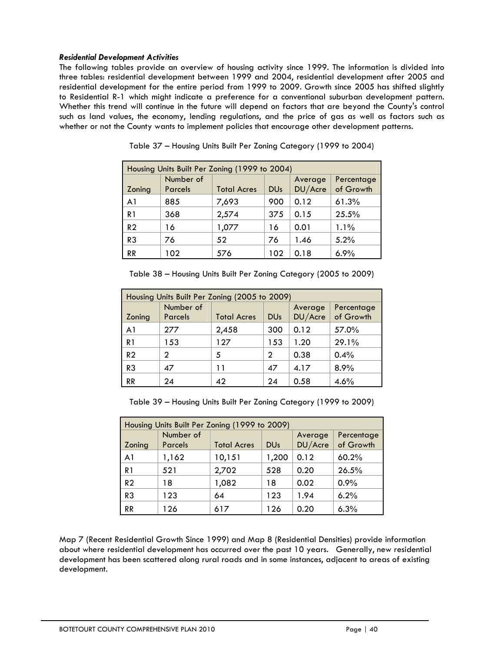## *Residential Development Activities*

The following tables provide an overview of housing activity since 1999. The information is divided into three tables: residential development between 1999 and 2004, residential development after 2005 and residential development for the entire period from 1999 to 2009. Growth since 2005 has shifted slightly to Residential R-1 which might indicate a preference for a conventional suburban development pattern. Whether this trend will continue in the future will depend on factors that are beyond the County's control such as land values, the economy, lending regulations, and the price of gas as well as factors such as whether or not the County wants to implement policies that encourage other development patterns.

| Housing Units Built Per Zoning (1999 to 2004) |                             |                    |            |                    |                         |  |
|-----------------------------------------------|-----------------------------|--------------------|------------|--------------------|-------------------------|--|
| Zoning                                        | Number of<br><b>Parcels</b> | <b>Total Acres</b> | <b>DUs</b> | Average<br>DU/Acre | Percentage<br>of Growth |  |
| A <sub>1</sub>                                | 885                         | 7,693              | 900        | 0.12               | 61.3%                   |  |
| R <sub>1</sub>                                | 368                         | 2,574              | 375        | 0.15               | 25.5%                   |  |
| R <sub>2</sub>                                | 16                          | 1,077              | 16         | 0.01               | 1.1%                    |  |
| R3                                            | 76                          | 52                 | 76         | 1.46               | 5.2%                    |  |
| <b>RR</b>                                     | 102                         | 576                | 102        | 0.18               | 6.9%                    |  |

Table 37 – Housing Units Built Per Zoning Category (1999 to 2004)

Table 38 – Housing Units Built Per Zoning Category (2005 to 2009)

| Housing Units Built Per Zoning (2005 to 2009) |                             |                    |                       |                    |                         |  |  |
|-----------------------------------------------|-----------------------------|--------------------|-----------------------|--------------------|-------------------------|--|--|
| Zoning                                        | Number of<br><b>Parcels</b> | <b>Total Acres</b> | <b>DU<sub>s</sub></b> | Average<br>DU/Acre | Percentage<br>of Growth |  |  |
| A <sub>1</sub>                                | 277                         | 2,458              | 300                   | 0.12               | 57.0%                   |  |  |
| R <sub>1</sub>                                | 153                         | 127                | 153                   | 1.20               | 29.1%                   |  |  |
| R <sub>2</sub>                                | 2                           | 5                  | 2                     | 0.38               | 0.4%                    |  |  |
| R <sub>3</sub>                                | 47                          | 11                 | 47                    | 4.17               | 8.9%                    |  |  |
| <b>RR</b>                                     | 24                          | 42                 | 24                    | 0.58               | 4.6%                    |  |  |

Table 39 – Housing Units Built Per Zoning Category (1999 to 2009)

| Housing Units Built Per Zoning (1999 to 2009) |                             |                    |                       |                    |                         |  |  |
|-----------------------------------------------|-----------------------------|--------------------|-----------------------|--------------------|-------------------------|--|--|
| Zoning                                        | Number of<br><b>Parcels</b> | <b>Total Acres</b> | <b>DU<sub>s</sub></b> | Average<br>DU/Acre | Percentage<br>of Growth |  |  |
| A <sub>1</sub>                                | 1,162                       | 10,151             | 1,200                 | 0.12               | 60.2%                   |  |  |
| R1                                            | 521                         | 2,702              | 528                   | 0.20               | 26.5%                   |  |  |
| R <sub>2</sub>                                | 18                          | 1,082              | 18                    | 0.02               | 0.9%                    |  |  |
| R <sub>3</sub>                                | 123                         | 64                 | 123                   | 1.94               | 6.2%                    |  |  |
| <b>RR</b>                                     | 126                         | 617                | 126                   | 0.20               | 6.3%                    |  |  |

Map 7 (Recent Residential Growth Since 1999) and Map 8 (Residential Densities) provide information about where residential development has occurred over the past 10 years. Generally, new residential development has been scattered along rural roads and in some instances, adjacent to areas of existing development.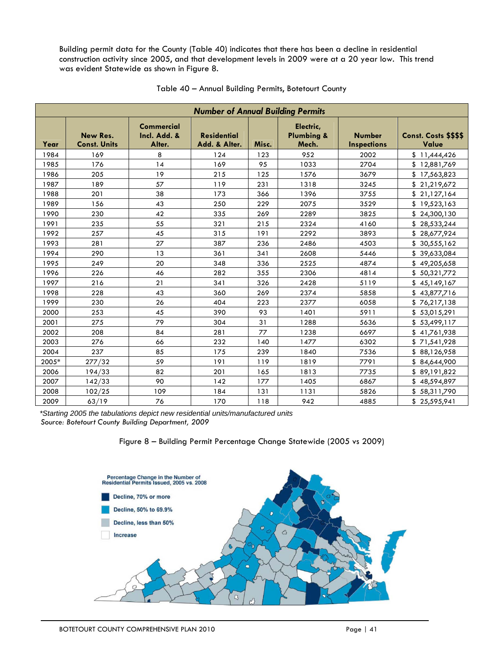Building permit data for the County (Table 40) indicates that there has been a decline in residential construction activity since 2005, and that development levels in 2009 were at a 20 year low. This trend was evident Statewide as shown in Figure 8.

|       |                                 |                                             | <b>Number of Annual Building Permits</b> |       |                                             |                                     |                                |
|-------|---------------------------------|---------------------------------------------|------------------------------------------|-------|---------------------------------------------|-------------------------------------|--------------------------------|
| Year  | New Res.<br><b>Const. Units</b> | <b>Commercial</b><br>Incl. Add. &<br>Alter. | <b>Residential</b><br>Add. & Alter.      | Misc. | Electric,<br><b>Plumbing &amp;</b><br>Mech. | <b>Number</b><br><b>Inspections</b> | Const. Costs \$\$\$\$<br>Value |
| 1984  | 169                             | 8                                           | 124                                      | 123   | 952                                         | 2002                                | \$11,444,426                   |
| 1985  | 176                             | 14                                          | 169                                      | 95    | 1033                                        | 2704                                | \$12,881,769                   |
| 1986  | 205                             | 19                                          | 215                                      | 125   | 1576                                        | 3679                                | \$17,563,823                   |
| 1987  | 189                             | 57                                          | 119                                      | 231   | 1318                                        | 3245                                | \$21,219,672                   |
| 1988  | 201                             | 38                                          | 173                                      | 366   | 1396                                        | 3755                                | \$21,127,164                   |
| 1989  | 156                             | 43                                          | 250                                      | 229   | 2075                                        | 3529                                | \$19,523,163                   |
| 1990  | 230                             | 42                                          | 335                                      | 269   | 2289                                        | 3825                                | \$24,300,130                   |
| 1991  | 235                             | 55                                          | 321                                      | 215   | 2324                                        | 4160                                | \$28,533,244                   |
| 1992  | 257                             | 45                                          | 315                                      | 191   | 2292                                        | 3893                                | \$28,677,924                   |
| 1993  | 281                             | 27                                          | 387                                      | 236   | 2486                                        | 4503                                | \$30,555,162                   |
| 1994  | 290                             | 13                                          | 361                                      | 341   | 2608                                        | 5446                                | \$39,633,084                   |
| 1995  | 249                             | 20                                          | 348                                      | 336   | 2525                                        | 4874                                | \$49,205,658                   |
| 1996  | 226                             | 46                                          | 282                                      | 355   | 2306                                        | 4814                                | \$50,321,772                   |
| 1997  | 216                             | 21                                          | 341                                      | 326   | 2428                                        | 5119                                | \$45,149,167                   |
| 1998  | 228                             | 43                                          | 360                                      | 269   | 2374                                        | 5858                                | \$43,877,716                   |
| 1999  | 230                             | 26                                          | 404                                      | 223   | 2377                                        | 6058                                | \$76,217,138                   |
| 2000  | 253                             | 45                                          | 390                                      | 93    | 1401                                        | 5911                                | \$53,015,291                   |
| 2001  | 275                             | 79                                          | 304                                      | 31    | 1288                                        | 5636                                | \$53,499,117                   |
| 2002  | 208                             | 84                                          | 281                                      | 77    | 1238                                        | 6697                                | \$41,761,938                   |
| 2003  | 276                             | 66                                          | 232                                      | 140   | 1477                                        | 6302                                | \$71,541,928                   |
| 2004  | 237                             | 85                                          | 175                                      | 239   | 1840                                        | 7536                                | \$88,126,958                   |
| 2005* | 277/32                          | 59                                          | 191                                      | 119   | 1819                                        | 7791                                | \$84,644,900                   |
| 2006  | 194/33                          | 82                                          | 201                                      | 165   | 1813                                        | 7735                                | \$89,191,822                   |
| 2007  | 142/33                          | 90                                          | 142                                      | 177   | 1405                                        | 6867                                | \$48,594,897                   |
| 2008  | 102/25                          | 109                                         | 184                                      | 131   | 1131                                        | 5826                                | \$58,311,790                   |
| 2009  | 63/19                           | 76                                          | 170                                      | 118   | 942                                         | 4885                                | \$25,595,941                   |

## Table 40 – Annual Building Permits, Botetourt County

*\*Starting 2005 the tabulations depict new residential units/manufactured units Source: Botetourt County Building Department, 2009*



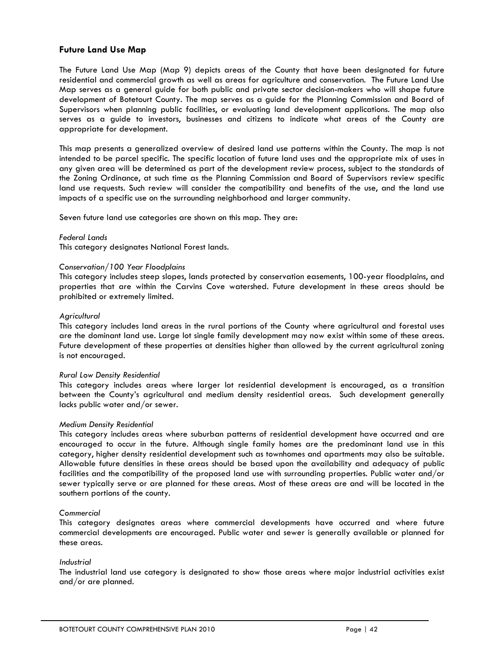## **Future Land Use Map**

The Future Land Use Map (Map 9) depicts areas of the County that have been designated for future residential and commercial growth as well as areas for agriculture and conservation. The Future Land Use Map serves as a general guide for both public and private sector decision-makers who will shape future development of Botetourt County. The map serves as a guide for the Planning Commission and Board of Supervisors when planning public facilities, or evaluating land development applications. The map also serves as a guide to investors, businesses and citizens to indicate what areas of the County are appropriate for development.

This map presents a generalized overview of desired land use patterns within the County. The map is not intended to be parcel specific. The specific location of future land uses and the appropriate mix of uses in any given area will be determined as part of the development review process, subject to the standards of the Zoning Ordinance, at such time as the Planning Commission and Board of Supervisors review specific land use requests. Such review will consider the compatibility and benefits of the use, and the land use impacts of a specific use on the surrounding neighborhood and larger community.

Seven future land use categories are shown on this map. They are:

#### *Federal Lands*

This category designates National Forest lands.

#### *Conservation/100 Year Floodplains*

This category includes steep slopes, lands protected by conservation easements, 100-year floodplains, and properties that are within the Carvins Cove watershed. Future development in these areas should be prohibited or extremely limited.

#### *Agricultural*

This category includes land areas in the rural portions of the County where agricultural and forestal uses are the dominant land use. Large lot single family development may now exist within some of these areas. Future development of these properties at densities higher than allowed by the current agricultural zoning is not encouraged.

#### *Rural Low Density Residential*

This category includes areas where larger lot residential development is encouraged, as a transition between the County's agricultural and medium density residential areas. Such development generally lacks public water and/or sewer.

#### *Medium Density Residential*

This category includes areas where suburban patterns of residential development have occurred and are encouraged to occur in the future. Although single family homes are the predominant land use in this category, higher density residential development such as townhomes and apartments may also be suitable. Allowable future densities in these areas should be based upon the availability and adequacy of public facilities and the compatibility of the proposed land use with surrounding properties. Public water and/or sewer typically serve or are planned for these areas. Most of these areas are and will be located in the southern portions of the county.

#### *Commercial*

This category designates areas where commercial developments have occurred and where future commercial developments are encouraged. Public water and sewer is generally available or planned for these areas.

#### *Industrial*

The industrial land use category is designated to show those areas where major industrial activities exist and/or are planned.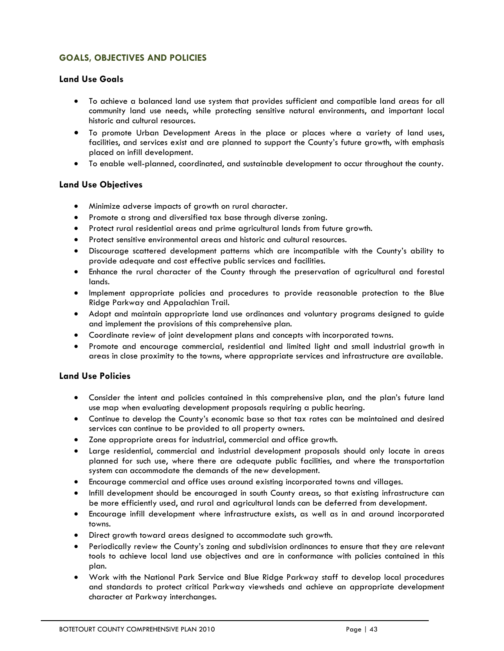# **GOALS, OBJECTIVES AND POLICIES**

# **Land Use Goals**

- To achieve a balanced land use system that provides sufficient and compatible land areas for all community land use needs, while protecting sensitive natural environments, and important local historic and cultural resources.
- To promote Urban Development Areas in the place or places where a variety of land uses, facilities, and services exist and are planned to support the County's future growth, with emphasis placed on infill development.
- To enable well-planned, coordinated, and sustainable development to occur throughout the county.

# **Land Use Objectives**

- Minimize adverse impacts of growth on rural character.
- Promote a strong and diversified tax base through diverse zoning.
- Protect rural residential areas and prime agricultural lands from future growth.
- Protect sensitive environmental areas and historic and cultural resources.
- Discourage scattered development patterns which are incompatible with the County's ability to provide adequate and cost effective public services and facilities.
- Enhance the rural character of the County through the preservation of agricultural and forestal lands.
- Implement appropriate policies and procedures to provide reasonable protection to the Blue Ridge Parkway and Appalachian Trail.
- Adopt and maintain appropriate land use ordinances and voluntary programs designed to guide and implement the provisions of this comprehensive plan.
- Coordinate review of joint development plans and concepts with incorporated towns.
- Promote and encourage commercial, residential and limited light and small industrial growth in areas in close proximity to the towns, where appropriate services and infrastructure are available.

# **Land Use Policies**

- Consider the intent and policies contained in this comprehensive plan, and the plan's future land use map when evaluating development proposals requiring a public hearing.
- Continue to develop the County's economic base so that tax rates can be maintained and desired services can continue to be provided to all property owners.
- Zone appropriate areas for industrial, commercial and office growth.
- Large residential, commercial and industrial development proposals should only locate in areas planned for such use, where there are adequate public facilities, and where the transportation system can accommodate the demands of the new development.
- Encourage commercial and office uses around existing incorporated towns and villages.
- Infill development should be encouraged in south County areas, so that existing infrastructure can be more efficiently used, and rural and agricultural lands can be deferred from development.
- Encourage infill development where infrastructure exists, as well as in and around incorporated towns.
- Direct growth toward areas designed to accommodate such growth.
- Periodically review the County's zoning and subdivision ordinances to ensure that they are relevant tools to achieve local land use objectives and are in conformance with policies contained in this plan.
- Work with the National Park Service and Blue Ridge Parkway staff to develop local procedures and standards to protect critical Parkway viewsheds and achieve an appropriate development character at Parkway interchanges.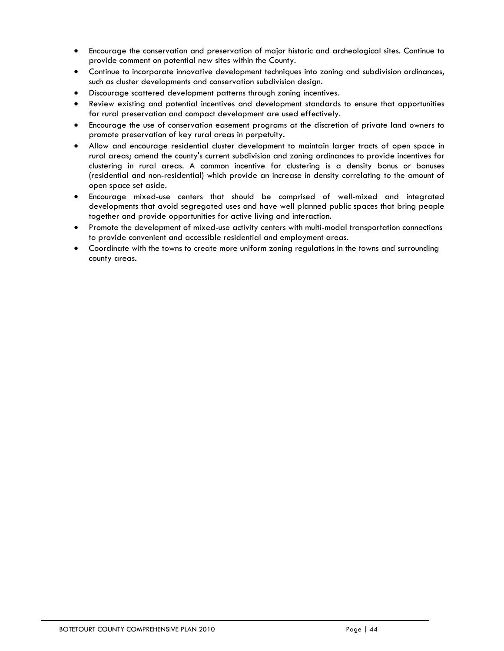- Encourage the conservation and preservation of major historic and archeological sites. Continue to provide comment on potential new sites within the County.
- Continue to incorporate innovative development techniques into zoning and subdivision ordinances, such as cluster developments and conservation subdivision design.
- Discourage scattered development patterns through zoning incentives.
- Review existing and potential incentives and development standards to ensure that opportunities for rural preservation and compact development are used effectively.
- Encourage the use of conservation easement programs at the discretion of private land owners to promote preservation of key rural areas in perpetuity.
- Allow and encourage residential cluster development to maintain larger tracts of open space in rural areas; amend the county's current subdivision and zoning ordinances to provide incentives for clustering in rural areas. A common incentive for clustering is a density bonus or bonuses (residential and non-residential) which provide an increase in density correlating to the amount of open space set aside.
- Encourage mixed-use centers that should be comprised of well-mixed and integrated developments that avoid segregated uses and have well planned public spaces that bring people together and provide opportunities for active living and interaction.
- Promote the development of mixed-use activity centers with multi-modal transportation connections to provide convenient and accessible residential and employment areas.
- Coordinate with the towns to create more uniform zoning regulations in the towns and surrounding county areas.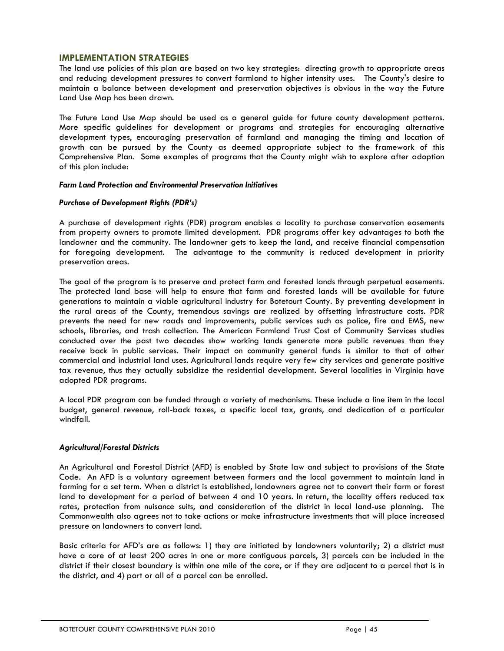## **IMPLEMENTATION STRATEGIES**

The land use policies of this plan are based on two key strategies: directing growth to appropriate areas and reducing development pressures to convert farmland to higher intensity uses. The County's desire to maintain a balance between development and preservation objectives is obvious in the way the Future Land Use Map has been drawn.

The Future Land Use Map should be used as a general guide for future county development patterns. More specific guidelines for development or programs and strategies for encouraging alternative development types, encouraging preservation of farmland and managing the timing and location of growth can be pursued by the County as deemed appropriate subject to the framework of this Comprehensive Plan. Some examples of programs that the County might wish to explore after adoption of this plan include:

#### *Farm Land Protection and Environmental Preservation Initiatives*

## *Purchase of Development Rights (PDR's)*

A purchase of development rights (PDR) program enables a locality to purchase conservation easements from property owners to promote limited development. PDR programs offer key advantages to both the landowner and the community. The landowner gets to keep the land, and receive financial compensation for foregoing development. The advantage to the community is reduced development in priority preservation areas.

The goal of the program is to preserve and protect farm and forested lands through perpetual easements. The protected land base will help to ensure that farm and forested lands will be available for future generations to maintain a viable agricultural industry for Botetourt County. By preventing development in the rural areas of the County, tremendous savings are realized by offsetting infrastructure costs. PDR prevents the need for new roads and improvements, public services such as police, fire and EMS, new schools, libraries, and trash collection. The American Farmland Trust Cost of Community Services studies conducted over the past two decades show working lands generate more public revenues than they receive back in public services. Their impact on community general funds is similar to that of other commercial and industrial land uses. Agricultural lands require very few city services and generate positive tax revenue, thus they actually subsidize the residential development. Several localities in Virginia have adopted PDR programs.

A local PDR program can be funded through a variety of mechanisms. These include a line item in the local budget, general revenue, roll-back taxes, a specific local tax, grants, and dedication of a particular windfall.

## *Agricultural/Forestal Districts*

An Agricultural and Forestal District (AFD) is enabled by State law and subject to provisions of the State Code. An AFD is a voluntary agreement between farmers and the local government to maintain land in farming for a set term. When a district is established, landowners agree not to convert their farm or forest land to development for a period of between 4 and 10 years. In return, the locality offers reduced tax rates, protection from nuisance suits, and consideration of the district in local land-use planning. The Commonwealth also agrees not to take actions or make infrastructure investments that will place increased pressure on landowners to convert land.

Basic criteria for AFD's are as follows: 1) they are initiated by landowners voluntarily; 2) a district must have a core of at least 200 acres in one or more contiguous parcels, 3) parcels can be included in the district if their closest boundary is within one mile of the core, or if they are adjacent to a parcel that is in the district, and 4) part or all of a parcel can be enrolled.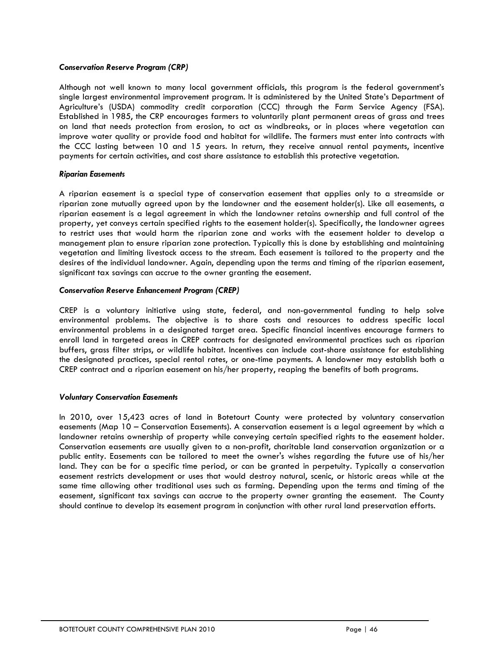## *Conservation Reserve Program (CRP)*

Although not well known to many local government officials, this program is the federal government's single largest environmental improvement program. It is administered by the United State's Department of Agriculture's (USDA) commodity credit corporation (CCC) through the Farm Service Agency (FSA). Established in 1985, the CRP encourages farmers to voluntarily plant permanent areas of grass and trees on land that needs protection from erosion, to act as windbreaks, or in places where vegetation can improve water quality or provide food and habitat for wildlife. The farmers must enter into contracts with the CCC lasting between 10 and 15 years. In return, they receive annual rental payments, incentive payments for certain activities, and cost share assistance to establish this protective vegetation.

## *Riparian Easements*

A riparian easement is a special type of conservation easement that applies only to a streamside or riparian zone mutually agreed upon by the landowner and the easement holder(s). Like all easements, a riparian easement is a legal agreement in which the landowner retains ownership and full control of the property, yet conveys certain specified rights to the easement holder(s). Specifically, the landowner agrees to restrict uses that would harm the riparian zone and works with the easement holder to develop a management plan to ensure riparian zone protection. Typically this is done by establishing and maintaining vegetation and limiting livestock access to the stream. Each easement is tailored to the property and the desires of the individual landowner. Again, depending upon the terms and timing of the riparian easement, significant tax savings can accrue to the owner granting the easement.

## *Conservation Reserve Enhancement Program (CREP)*

CREP is a voluntary initiative using state, federal, and non-governmental funding to help solve environmental problems. The objective is to share costs and resources to address specific local environmental problems in a designated target area. Specific financial incentives encourage farmers to enroll land in targeted areas in CREP contracts for designated environmental practices such as riparian buffers, grass filter strips, or wildlife habitat. Incentives can include cost-share assistance for establishing the designated practices, special rental rates, or one-time payments. A landowner may establish both a CREP contract and a riparian easement on his/her property, reaping the benefits of both programs.

## *Voluntary Conservation Easements*

In 2010, over 15,423 acres of land in Botetourt County were protected by voluntary conservation easements (Map 10 – Conservation Easements). A conservation easement is a legal agreement by which a landowner retains ownership of property while conveying certain specified rights to the easement holder. Conservation easements are usually given to a non-profit, charitable land conservation organization or a public entity. Easements can be tailored to meet the owner's wishes regarding the future use of his/her land. They can be for a specific time period, or can be granted in perpetuity. Typically a conservation easement restricts development or uses that would destroy natural, scenic, or historic areas while at the same time allowing other traditional uses such as farming. Depending upon the terms and timing of the easement, significant tax savings can accrue to the property owner granting the easement. The County should continue to develop its easement program in conjunction with other rural land preservation efforts.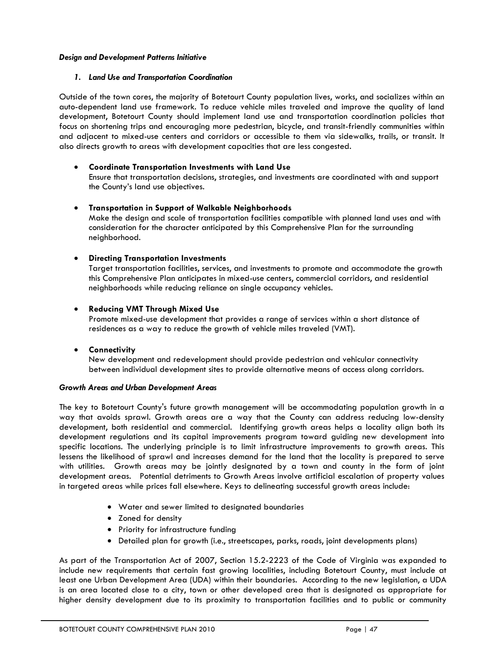## *Design and Development Patterns Initiative*

#### *1. Land Use and Transportation Coordination*

Outside of the town cores, the majority of Botetourt County population lives, works, and socializes within an auto-dependent land use framework. To reduce vehicle miles traveled and improve the quality of land development, Botetourt County should implement land use and transportation coordination policies that focus on shortening trips and encouraging more pedestrian, bicycle, and transit-friendly communities within and adjacent to mixed-use centers and corridors or accessible to them via sidewalks, trails, or transit. It also directs growth to areas with development capacities that are less congested.

## • **Coordinate Transportation Investments with Land Use**

Ensure that transportation decisions, strategies, and investments are coordinated with and support the County's land use objectives.

## • **Transportation in Support of Walkable Neighborhoods**

Make the design and scale of transportation facilities compatible with planned land uses and with consideration for the character anticipated by this Comprehensive Plan for the surrounding neighborhood.

## • **Directing Transportation Investments**

Target transportation facilities, services, and investments to promote and accommodate the growth this Comprehensive Plan anticipates in mixed-use centers, commercial corridors, and residential neighborhoods while reducing reliance on single occupancy vehicles.

## • **Reducing VMT Through Mixed Use**

Promote mixed-use development that provides a range of services within a short distance of residences as a way to reduce the growth of vehicle miles traveled (VMT).

## • **Connectivity**

New development and redevelopment should provide pedestrian and vehicular connectivity between individual development sites to provide alternative means of access along corridors.

#### *Growth Areas and Urban Development Areas*

The key to Botetourt County's future growth management will be accommodating population growth in a way that avoids sprawl. Growth areas are a way that the County can address reducing low-density development, both residential and commercial. Identifying growth areas helps a locality align both its development regulations and its capital improvements program toward guiding new development into specific locations. The underlying principle is to limit infrastructure improvements to growth areas. This lessens the likelihood of sprawl and increases demand for the land that the locality is prepared to serve with utilities. Growth areas may be jointly designated by a town and county in the form of joint development areas. Potential detriments to Growth Areas involve artificial escalation of property values in targeted areas while prices fall elsewhere. Keys to delineating successful growth areas include:

- Water and sewer limited to designated boundaries
- Zoned for density
- Priority for infrastructure funding
- Detailed plan for growth (i.e., streetscapes, parks, roads, joint developments plans)

As part of the Transportation Act of 2007, Section 15.2-2223 of the Code of Virginia was expanded to include new requirements that certain fast growing localities, including Botetourt County, must include at least one Urban Development Area (UDA) within their boundaries. According to the new legislation, a UDA is an area located close to a city, town or other developed area that is designated as appropriate for higher density development due to its proximity to transportation facilities and to public or community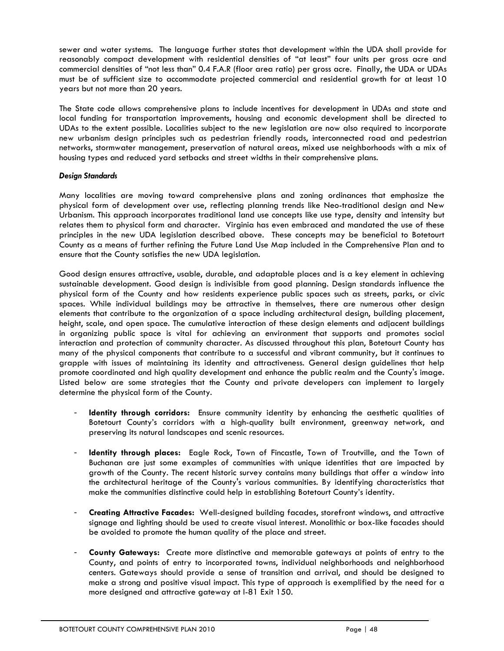sewer and water systems. The language further states that development within the UDA shall provide for reasonably compact development with residential densities of "at least" four units per gross acre and commercial densities of "not less than" 0.4 F.A.R (floor area ratio) per gross acre. Finally, the UDA or UDAs must be of sufficient size to accommodate projected commercial and residential growth for at least 10 years but not more than 20 years.

The State code allows comprehensive plans to include incentives for development in UDAs and state and local funding for transportation improvements, housing and economic development shall be directed to UDAs to the extent possible. Localities subject to the new legislation are now also required to incorporate new urbanism design principles such as pedestrian friendly roads, interconnected road and pedestrian networks, stormwater management, preservation of natural areas, mixed use neighborhoods with a mix of housing types and reduced yard setbacks and street widths in their comprehensive plans.

## *Design Standards*

Many localities are moving toward comprehensive plans and zoning ordinances that emphasize the physical form of development over use, reflecting planning trends like Neo-traditional design and New Urbanism. This approach incorporates traditional land use concepts like use type, density and intensity but relates them to physical form and character. Virginia has even embraced and mandated the use of these principles in the new UDA legislation described above. These concepts may be beneficial to Botetourt County as a means of further refining the Future Land Use Map included in the Comprehensive Plan and to ensure that the County satisfies the new UDA legislation.

Good design ensures attractive, usable, durable, and adaptable places and is a key element in achieving sustainable development. Good design is indivisible from good planning. Design standards influence the physical form of the County and how residents experience public spaces such as streets, parks, or civic spaces. While individual buildings may be attractive in themselves, there are numerous other design elements that contribute to the organization of a space including architectural design, building placement, height, scale, and open space. The cumulative interaction of these design elements and adjacent buildings in organizing public space is vital for achieving an environment that supports and promotes social interaction and protection of community character. As discussed throughout this plan, Botetourt County has many of the physical components that contribute to a successful and vibrant community, but it continues to grapple with issues of maintaining its identity and attractiveness. General design guidelines that help promote coordinated and high quality development and enhance the public realm and the County's image. Listed below are some strategies that the County and private developers can implement to largely determine the physical form of the County.

- **Identity through corridors:** Ensure community identity by enhancing the aesthetic qualities of Botetourt County's corridors with a high-quality built environment, greenway network, and preserving its natural landscapes and scenic resources.
- **Identity through places:** Eagle Rock, Town of Fincastle, Town of Troutville, and the Town of Buchanan are just some examples of communities with unique identities that are impacted by growth of the County. The recent historic survey contains many buildings that offer a window into the architectural heritage of the County's various communities. By identifying characteristics that make the communities distinctive could help in establishing Botetourt County's identity.
- **Creating Attractive Facades:** Well-designed building facades, storefront windows, and attractive signage and lighting should be used to create visual interest. Monolithic or box-like facades should be avoided to promote the human quality of the place and street.
- **County Gateways:** Create more distinctive and memorable gateways at points of entry to the County, and points of entry to incorporated towns, individual neighborhoods and neighborhood centers. Gateways should provide a sense of transition and arrival, and should be designed to make a strong and positive visual impact. This type of approach is exemplified by the need for a more designed and attractive gateway at I-81 Exit 150.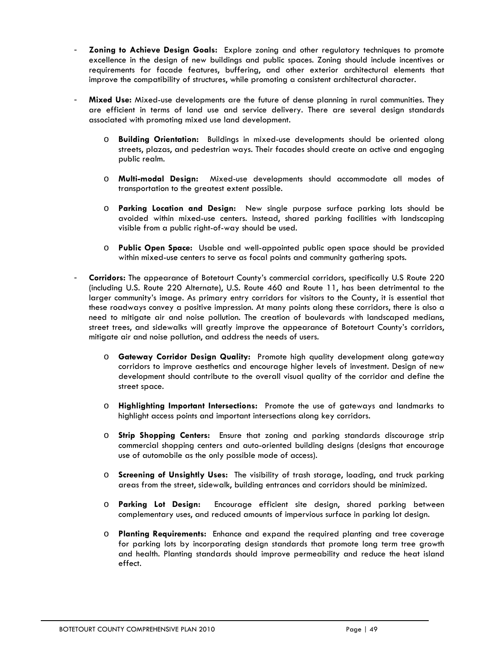- **Zoning to Achieve Design Goals:** Explore zoning and other regulatory techniques to promote excellence in the design of new buildings and public spaces. Zoning should include incentives or requirements for facade features, buffering, and other exterior architectural elements that improve the compatibility of structures, while promoting a consistent architectural character.
- **Mixed Use:** Mixed-use developments are the future of dense planning in rural communities. They are efficient in terms of land use and service delivery. There are several design standards associated with promoting mixed use land development.
	- o **Building Orientation:** Buildings in mixed-use developments should be oriented along streets, plazas, and pedestrian ways. Their facades should create an active and engaging public realm.
	- o **Multi-modal Design:** Mixed-use developments should accommodate all modes of transportation to the greatest extent possible.
	- o **Parking Location and Design:** New single purpose surface parking lots should be avoided within mixed-use centers. Instead, shared parking facilities with landscaping visible from a public right-of-way should be used.
	- o **Public Open Space:** Usable and well-appointed public open space should be provided within mixed-use centers to serve as focal points and community gathering spots.
- **Corridors:** The appearance of Botetourt County's commercial corridors, specifically U.S Route 220 (including U.S. Route 220 Alternate), U.S. Route 460 and Route 11, has been detrimental to the larger community's image. As primary entry corridors for visitors to the County, it is essential that these roadways convey a positive impression. At many points along these corridors, there is also a need to mitigate air and noise pollution. The creation of boulevards with landscaped medians, street trees, and sidewalks will greatly improve the appearance of Botetourt County's corridors, mitigate air and noise pollution, and address the needs of users.
	- o **Gateway Corridor Design Quality:** Promote high quality development along gateway corridors to improve aesthetics and encourage higher levels of investment. Design of new development should contribute to the overall visual quality of the corridor and define the street space.
	- o **Highlighting Important Intersections:** Promote the use of gateways and landmarks to highlight access points and important intersections along key corridors.
	- o **Strip Shopping Centers:** Ensure that zoning and parking standards discourage strip commercial shopping centers and auto-oriented building designs (designs that encourage use of automobile as the only possible mode of access).
	- o **Screening of Unsightly Uses:** The visibility of trash storage, loading, and truck parking areas from the street, sidewalk, building entrances and corridors should be minimized.
	- o **Parking Lot Design:** Encourage efficient site design, shared parking between complementary uses, and reduced amounts of impervious surface in parking lot design.
	- o **Planting Requirements:** Enhance and expand the required planting and tree coverage for parking lots by incorporating design standards that promote long term tree growth and health. Planting standards should improve permeability and reduce the heat island effect.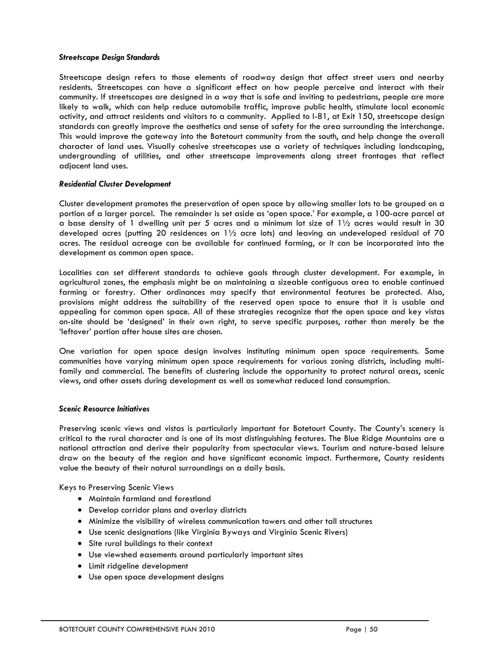#### *Streetscape Design Standards*

Streetscape design refers to those elements of roadway design that affect street users and nearby residents. Streetscapes can have a significant effect on how people perceive and interact with their community. If streetscapes are designed in a way that is safe and inviting to pedestrians, people are more likely to walk, which can help reduce automobile traffic, improve public health, stimulate local economic activity, and attract residents and visitors to a community. Applied to I-81, at Exit 150, streetscape design standards can greatly improve the aesthetics and sense of safety for the area surrounding the interchange. This would improve the gateway into the Botetourt community from the south, and help change the overall character of land uses. Visually cohesive streetscapes use a variety of techniques including landscaping, undergrounding of utilities, and other streetscape improvements along street frontages that reflect adjacent land uses.

## *Residential Cluster Development*

Cluster development promotes the preservation of open space by allowing smaller lots to be grouped on a portion of a larger parcel. The remainder is set aside as 'open space.' For example, a 100-acre parcel at a base density of 1 dwelling unit per 5 acres and a minimum lot size of  $1\frac{1}{2}$  acres would result in 30 developed acres (putting 20 residences on  $1\frac{1}{2}$  acre lots) and leaving an undeveloped residual of 70 acres. The residual acreage can be available for continued farming, or it can be incorporated into the development as common open space.

Localities can set different standards to achieve goals through cluster development. For example, in agricultural zones, the emphasis might be on maintaining a sizeable contiguous area to enable continued farming or forestry. Other ordinances may specify that environmental features be protected. Also, provisions might address the suitability of the reserved open space to ensure that it is usable and appealing for common open space. All of these strategies recognize that the open space and key vistas on-site should be 'designed' in their own right, to serve specific purposes, rather than merely be the 'leftover' portion after house sites are chosen.

One variation for open space design involves instituting minimum open space requirements. Some communities have varying minimum open space requirements for various zoning districts, including multifamily and commercial. The benefits of clustering include the opportunity to protect natural areas, scenic views, and other assets during development as well as somewhat reduced land consumption.

#### *Scenic Resource Initiatives*

Preserving scenic views and vistas is particularly important for Botetourt County. The County's scenery is critical to the rural character and is one of its most distinguishing features. The Blue Ridge Mountains are a national attraction and derive their popularity from spectacular views. Tourism and nature-based leisure draw on the beauty of the region and have significant economic impact. Furthermore, County residents value the beauty of their natural surroundings on a daily basis.

Keys to Preserving Scenic Views

- Maintain farmland and forestland
- Develop corridor plans and overlay districts
- Minimize the visibility of wireless communication towers and other tall structures
- Use scenic designations (like Virginia Byways and Virginia Scenic Rivers)
- Site rural buildings to their context
- Use viewshed easements around particularly important sites
- Limit ridgeline development
- Use open space development designs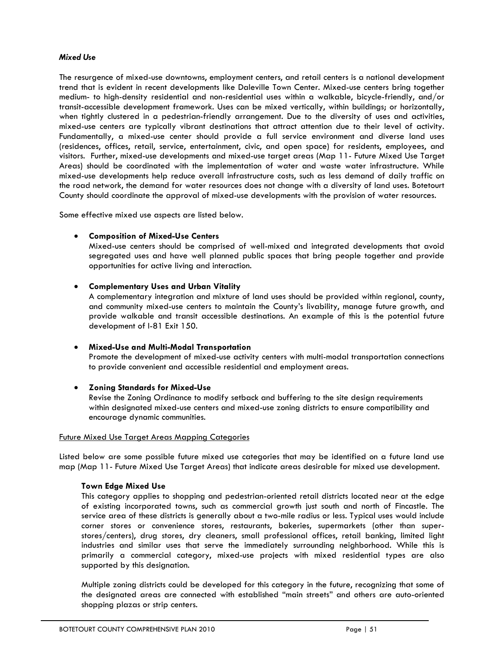## *Mixed Use*

The resurgence of mixed-use downtowns, employment centers, and retail centers is a national development trend that is evident in recent developments like Daleville Town Center. Mixed-use centers bring together medium- to high-density residential and non-residential uses within a walkable, bicycle-friendly, and/or transit-accessible development framework. Uses can be mixed vertically, within buildings; or horizontally, when tightly clustered in a pedestrian-friendly arrangement. Due to the diversity of uses and activities, mixed-use centers are typically vibrant destinations that attract attention due to their level of activity. Fundamentally, a mixed-use center should provide a full service environment and diverse land uses (residences, offices, retail, service, entertainment, civic, and open space) for residents, employees, and visitors. Further, mixed-use developments and mixed-use target areas (Map 11- Future Mixed Use Target Areas) should be coordinated with the implementation of water and waste water infrastructure. While mixed-use developments help reduce overall infrastructure costs, such as less demand of daily traffic on the road network, the demand for water resources does not change with a diversity of land uses. Botetourt County should coordinate the approval of mixed-use developments with the provision of water resources.

Some effective mixed use aspects are listed below.

## • **Composition of Mixed-Use Centers**

Mixed-use centers should be comprised of well-mixed and integrated developments that avoid segregated uses and have well planned public spaces that bring people together and provide opportunities for active living and interaction.

## • **Complementary Uses and Urban Vitality**

A complementary integration and mixture of land uses should be provided within regional, county, and community mixed-use centers to maintain the County's livability, manage future growth, and provide walkable and transit accessible destinations. An example of this is the potential future development of I-81 Exit 150.

## • **Mixed-Use and Multi-Modal Transportation**

Promote the development of mixed-use activity centers with multi-modal transportation connections to provide convenient and accessible residential and employment areas.

## • **Zoning Standards for Mixed-Use**

Revise the Zoning Ordinance to modify setback and buffering to the site design requirements within designated mixed-use centers and mixed-use zoning districts to ensure compatibility and encourage dynamic communities.

#### Future Mixed Use Target Areas Mapping Categories

Listed below are some possible future mixed use categories that may be identified on a future land use map (Map 11- Future Mixed Use Target Areas) that indicate areas desirable for mixed use development.

#### **Town Edge Mixed Use**

This category applies to shopping and pedestrian-oriented retail districts located near at the edge of existing incorporated towns, such as commercial growth just south and north of Fincastle. The service area of these districts is generally about a two-mile radius or less. Typical uses would include corner stores or convenience stores, restaurants, bakeries, supermarkets (other than superstores/centers), drug stores, dry cleaners, small professional offices, retail banking, limited light industries and similar uses that serve the immediately surrounding neighborhood. While this is primarily a commercial category, mixed-use projects with mixed residential types are also supported by this designation.

Multiple zoning districts could be developed for this category in the future, recognizing that some of the designated areas are connected with established "main streets" and others are auto-oriented shopping plazas or strip centers.